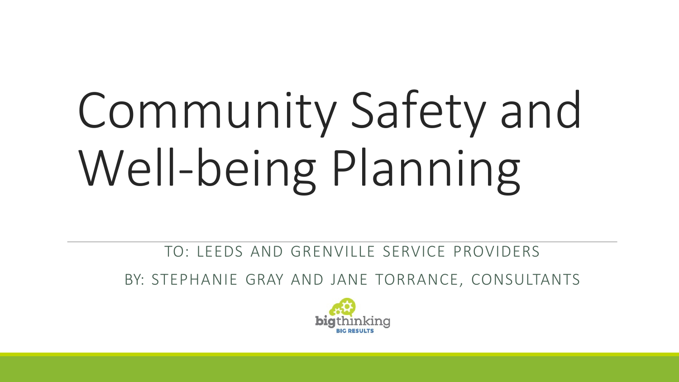# Community Safety and Well-being Planning

TO: LEEDS AND GRENVILLE SERVICE PROVIDERS

BY: STEPHANIE GRAY AND JANE TORRANCE, CONSULTANTS

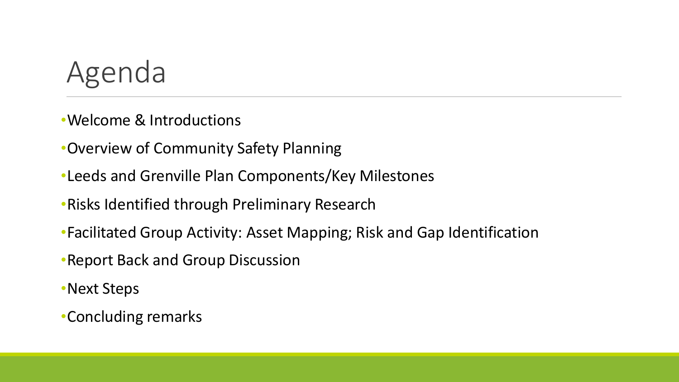

- •Welcome & Introductions
- •Overview of Community Safety Planning
- •Leeds and Grenville Plan Components/Key Milestones
- •Risks Identified through Preliminary Research
- •Facilitated Group Activity: Asset Mapping; Risk and Gap Identification
- •Report Back and Group Discussion
- •Next Steps
- •Concluding remarks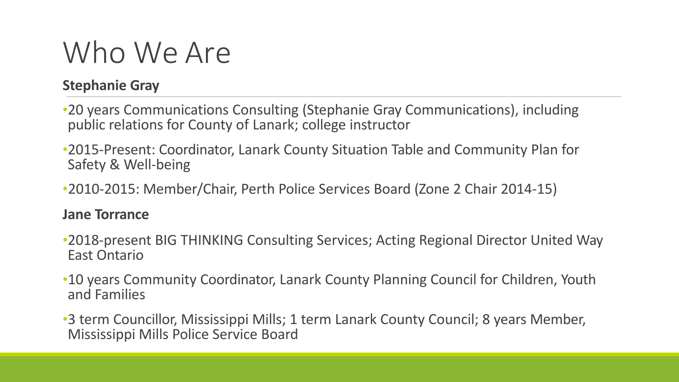#### Who We Are

#### **Stephanie Gray**

- •20 years Communications Consulting (Stephanie Gray Communications), including public relations for County of Lanark; college instructor
- •2015-Present: Coordinator, Lanark County Situation Table and Community Plan for Safety & Well-being
- •2010-2015: Member/Chair, Perth Police Services Board (Zone 2 Chair 2014-15)

#### **Jane Torrance**

- •2018-present BIG THINKING Consulting Services; Acting Regional Director United Way East Ontario
- •10 years Community Coordinator, Lanark County Planning Council for Children, Youth and Families
- •3 term Councillor, Mississippi Mills; 1 term Lanark County Council; 8 years Member, Mississippi Mills Police Service Board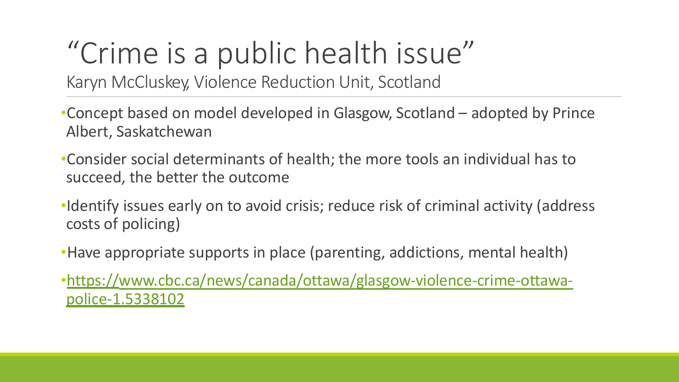# "Crime is a public health isse

Karyn McCluskey, Violence Reduction Unit, Scotlan

- •Concept based on [model developed](http://www.cbc.ca/news/canada/ottawa/glasgow-violence-crime-ottawa-) in Glasgow, Scotla Albert, Saskatchewan
- •Consider social determinants of health; the more tool succeed, the better the outcome
- ·Identify issues early on to avoid crisis; reduce risk of c costs of policing)
- •Have appropriate supports in place (parenting, addict
- •https://www.cbc.ca/news/canada/ottawa/glasgow-vic police-1.5338102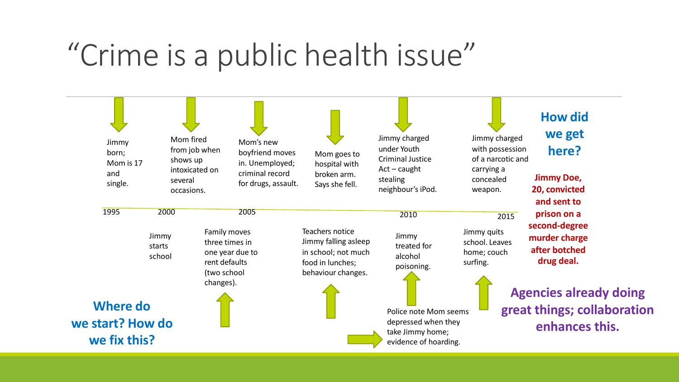#### "Crime is a public health issue"

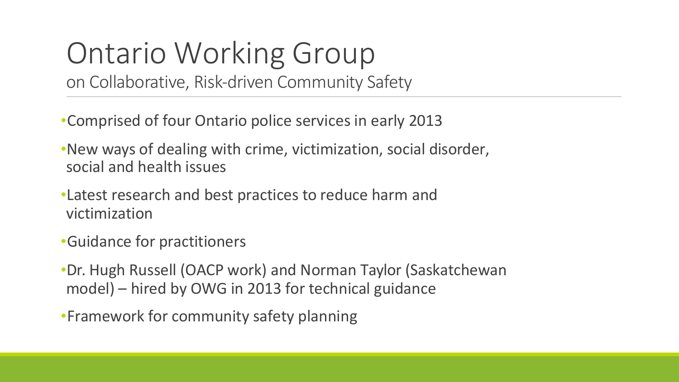## Ontario Working Group

on Collaborative, Risk-driven Community Safety

•Comprised of four Ontario police services in early 2013

- •New ways of dealing with crime, victimization, social disorder, social and health issues
- •Latest research and best practices to reduce harm and victimization
- •Guidance for practitioners

•Dr. Hugh Russell (OACP work) and Norman Taylor (Saskatchewan model) – hired by OWG in 2013 for technical guidance

•Framework for community safety planning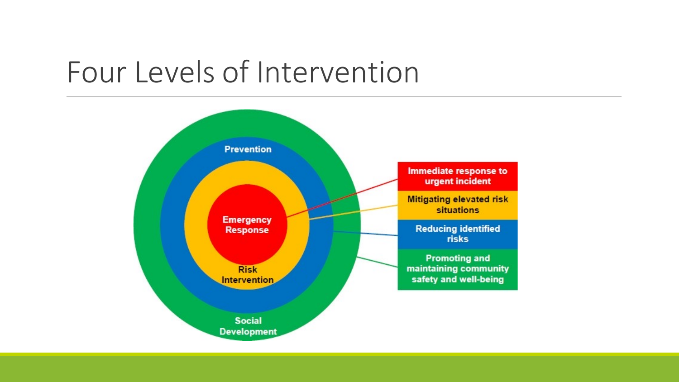#### Four Levels of Intervention

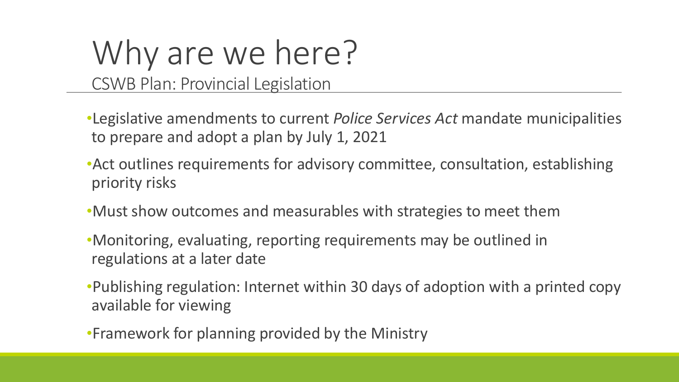# Why are we here?

CSWB Plan: Provincial Legislation

- •Legislative amendments to current *Police Services Act* mandate municipalities to prepare and adopt a plan by July 1, 2021
- •Act outlines requirements for advisory committee, consultation, establishing priority risks
- •Must show outcomes and measurables with strategies to meet them
- •Monitoring, evaluating, reporting requirements may be outlined in regulations at a later date
- •Publishing regulation: Internet within 30 days of adoption with a printed copy available for viewing
- •Framework for planning provided by the Ministry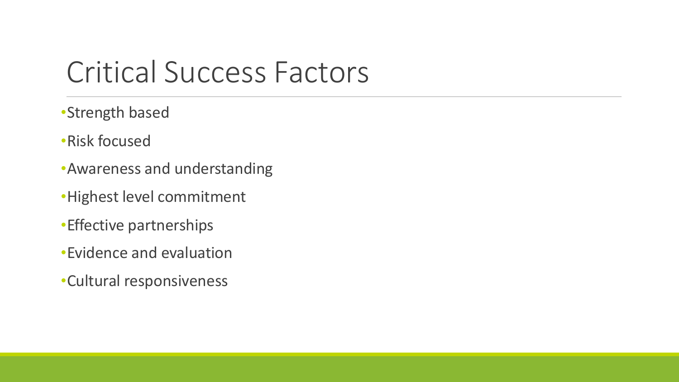#### Critical Success Factors

- •Strength based
- •Risk focused
- •Awareness and understanding
- •Highest level commitment
- •Effective partnerships
- •Evidence and evaluation
- •Cultural responsiveness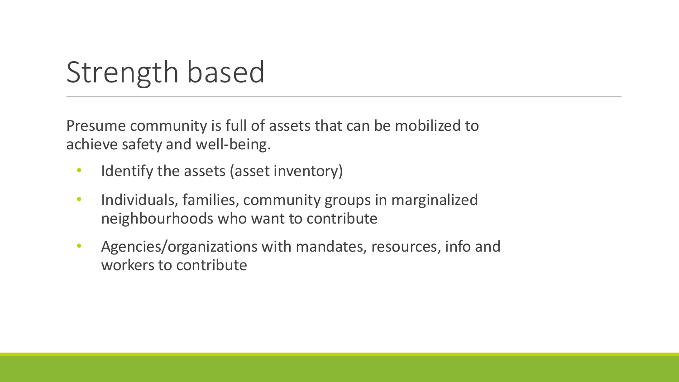### Strength based

Presume community is full of assets that can be mobilized to achieve safety and well-being.

- Identify the assets (asset inventory)
- Individuals, families, community groups in marginalized neighbourhoods who want to contribute
- Agencies/organizations with mandates, resources, info and workers to contribute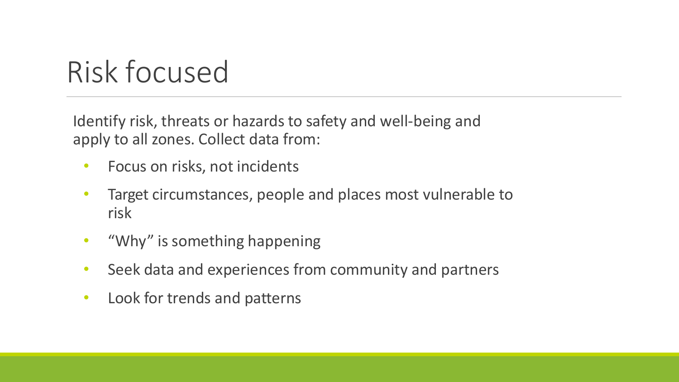### Risk focused

Identify risk, threats or hazards to safety and well-being and apply to all zones. Collect data from:

- Focus on risks, not incidents
- Target circumstances, people and places most vulnerable to risk
- "Why" is something happening
- Seek data and experiences from community and partners
- Look for trends and patterns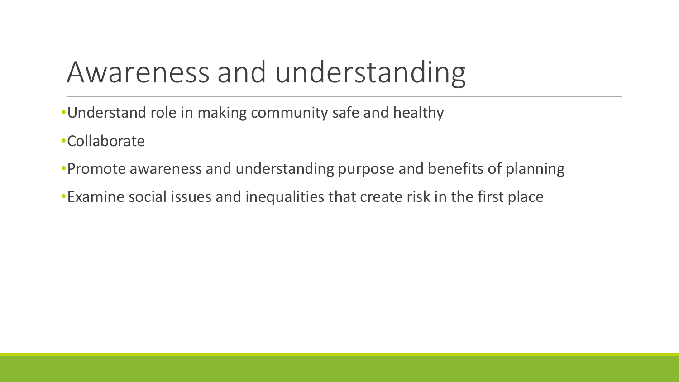#### Awareness and understanding

- •Understand role in making community safe and healthy
- •Collaborate
- •Promote awareness and understanding purpose and benefits of planning
- •Examine social issues and inequalities that create risk in the first place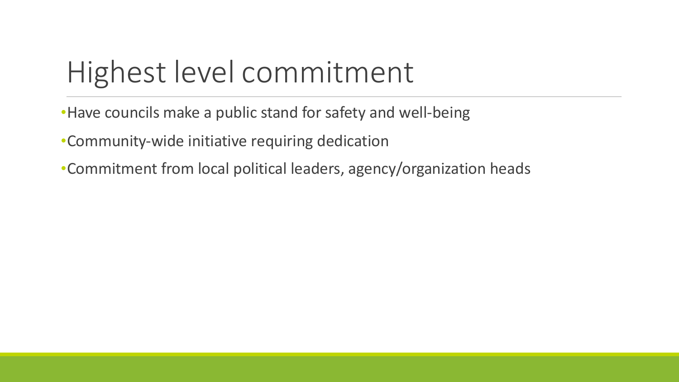### Highest level commitment

•Have councils make a public stand for safety and well-being

•Community-wide initiative requiring dedication

•Commitment from local political leaders, agency/organization heads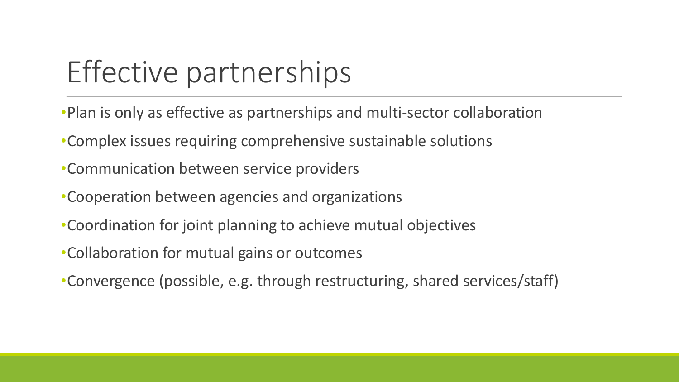#### Effective partnerships

- •Plan is only as effective as partnerships and multi-sector collaboration
- •Complex issues requiring comprehensive sustainable solutions
- •Communication between service providers
- •Cooperation between agencies and organizations
- •Coordination for joint planning to achieve mutual objectives
- •Collaboration for mutual gains or outcomes
- •Convergence (possible, e.g. through restructuring, shared services/staff)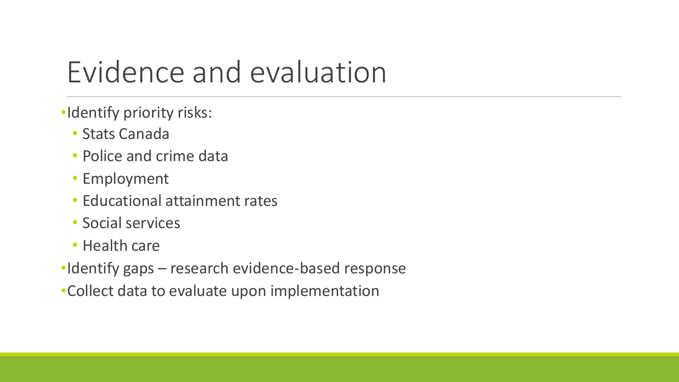#### Evidence and evaluation

- •Identify priority risks:
	- Stats Canada
	- Police and crime data
	- Employment
	- Educational attainment rates
	- Social services
	- Health care
- •Identify gaps research evidence-based response
- •Collect data to evaluate upon implementation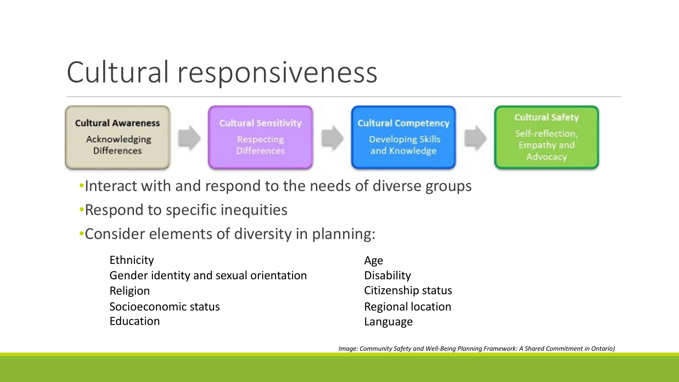#### Cultural responsiveness



- •Interact with and respond to the needs of diverse groups
- •Respond to specific inequities
- •Consider elements of diversity in planning:

| Ethnicity                              | Age                      |
|----------------------------------------|--------------------------|
| Gender identity and sexual orientation | Disability               |
| Religion                               | Citizenship status       |
| Socioeconomic status                   | <b>Regional location</b> |
| Education                              | Language                 |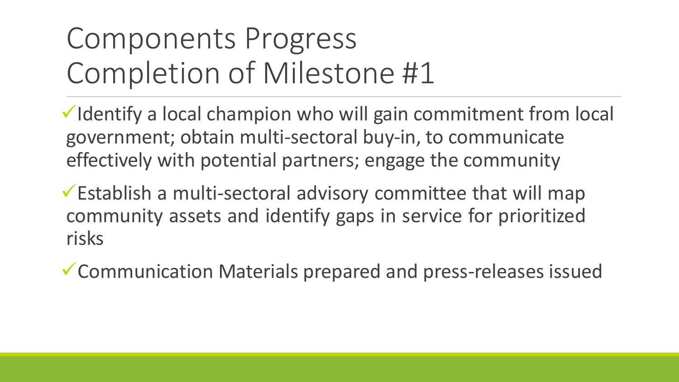### Components Progress Completion of Milestone #1

 $\checkmark$  Identify a local champion who will gain commitment from local government; obtain multi-sectoral buy-in, to communicate effectively with potential partners; engage the community

 $\checkmark$  Establish a multi-sectoral advisory committee that will map community assets and identify gaps in service for prioritized risks

 $\checkmark$  Communication Materials prepared and press-releases issued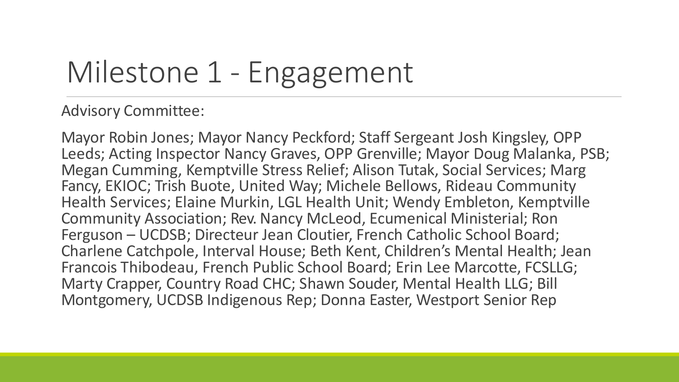### Milestone 1 - Engagement

#### Advisory Committee:

Mayor Robin Jones; Mayor Nancy Peckford; Staff Sergeant Josh Kingsley, OPP Leeds; Acting Inspector Nancy Graves, OPP Grenville; Mayor Doug Malanka, PSB; Megan Cumming, Kemptville Stress Relief; Alison Tutak, Social Services; Marg Fancy, EKIOC; Trish Buote, United Way; Michele Bellows, Rideau Community Health Services; Elaine Murkin, LGL Health Unit; Wendy Embleton, Kemptville Community Association; Rev. Nancy McLeod, Ecumenical Ministerial; Ron Ferguson – UCDSB; Directeur Jean Cloutier, French Catholic School Board; Charlene Catchpole, Interval House; Beth Kent, Children's Mental Health; Jean Francois Thibodeau, French Public School Board; Erin Lee Marcotte, FCSLLG; Marty Crapper, Country Road CHC; Shawn Souder, Mental Health LLG; Bill Montgomery, UCDSB Indigenous Rep; Donna Easter, Westport Senior Rep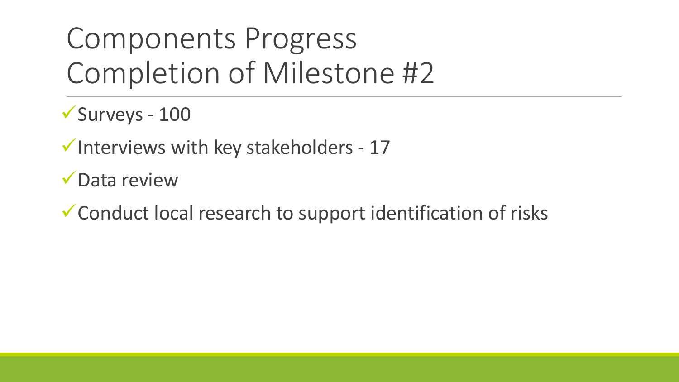### Components Progress Completion of Milestone #2

 $\checkmark$ Surveys - 100

 $\checkmark$  Interviews with key stakeholders - 17

 $\sqrt{\phantom{a}}$ Data review

 $\checkmark$  Conduct local research to support identification of risks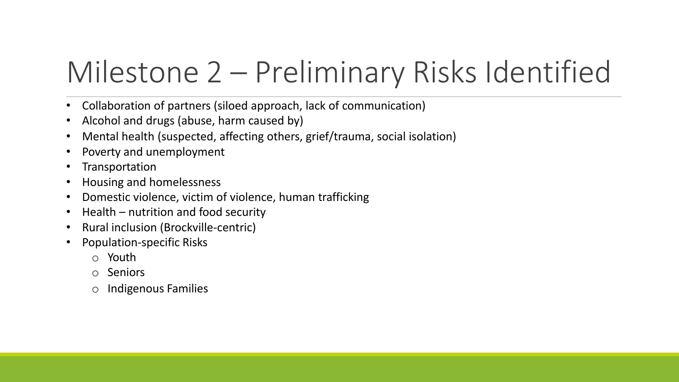### Milestone 2 – Preliminary Risks Identified

- Collaboration of partners (siloed approach, lack of communication)
- Alcohol and drugs (abuse, harm caused by)
- Mental health (suspected, affecting others, grief/trauma, social isolation)
- Poverty and unemployment
- Transportation
- Housing and homelessness
- Domestic violence, victim of violence, human trafficking
- Health nutrition and food security
- Rural inclusion (Brockville-centric)
- Population-specific Risks
	- o Youth
	- o Seniors
	- o Indigenous Families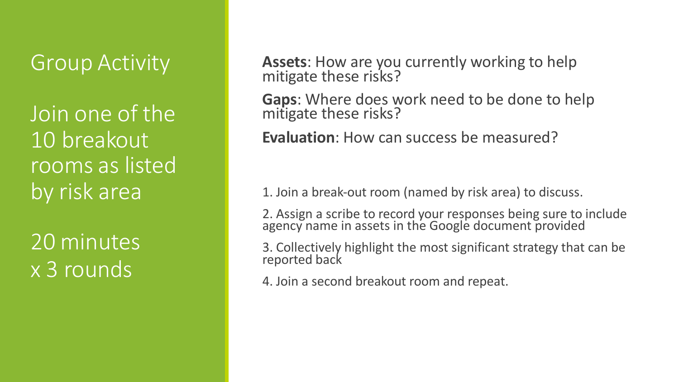#### Group Activity

Join one of the 10 breakout rooms as listed by risk area

20 minutes x 3 rounds

**Assets**: How are you currently working to help mitigate these risks?

**Gaps**: Where does work need to be done to help mitigate these risks?

**Evaluation**: How can success be measured?

1. Join a break-out room (named by risk area) to discuss.

2. Assign a scribe to record your responses being sure to include agency name in assets in the Google document provided

3. Collectively highlight the most significant strategy that can be reported back

4. Join a second breakout room and repeat.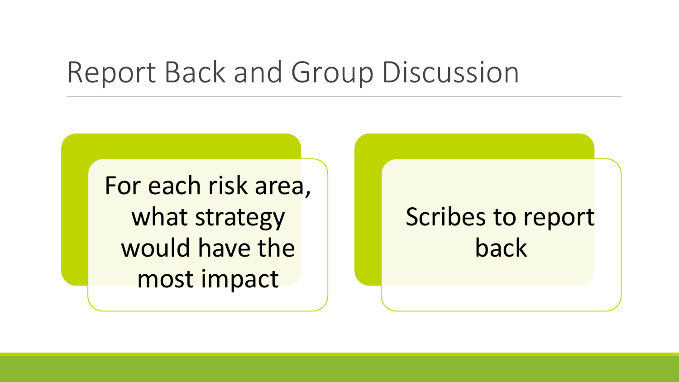#### Report Back and Group Discussion

For each risk area, what strategy would have the most impact

#### Scribes to report back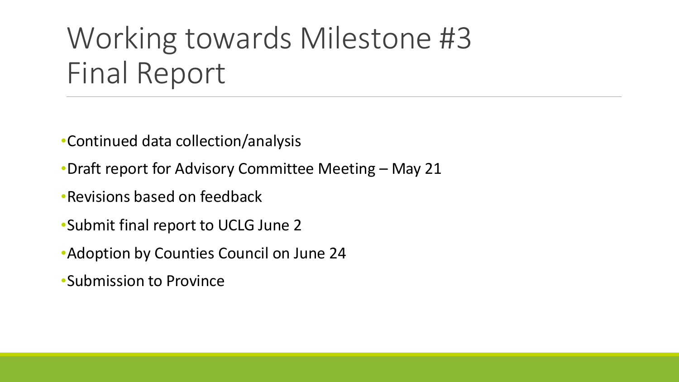### Working towards Milestone #3 Final Report

•Continued data collection/analysis

•Draft report for Advisory Committee Meeting – May 21

•Revisions based on feedback

•Submit final report to UCLG June 2

•Adoption by Counties Council on June 24

•Submission to Province